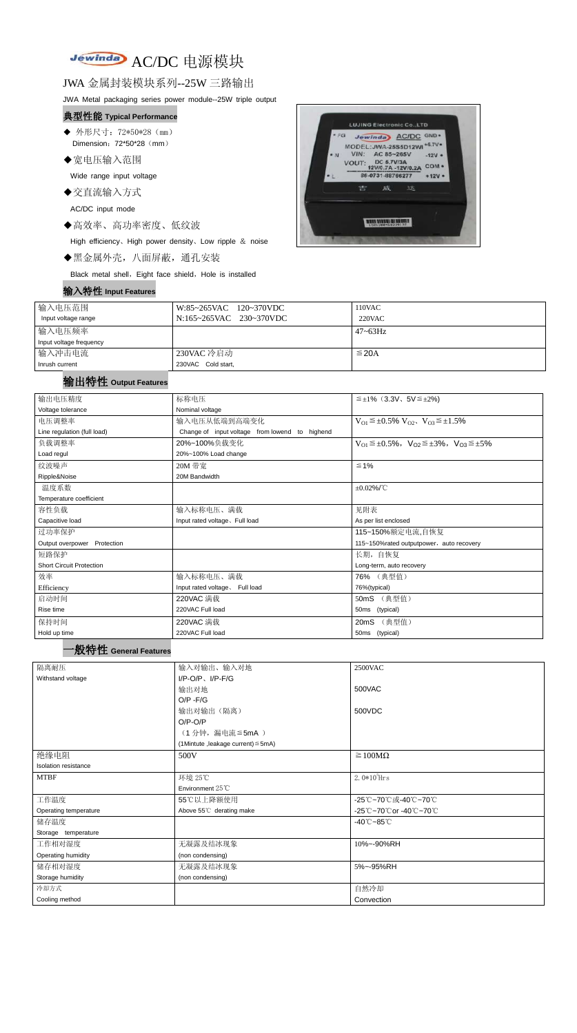# Jewinday AC/DC 电源模块

### JWA 金属封装模块系列--25W 三路输出

JWA Metal packaging series power module--25W triple output

- ◆ 外形尺寸: 72\*50\*28 (mm) Dimension: 72\*50\*28 (mm)
- ◆宽电压输入范围

### 典型性能 **Typical Performance**

Wide range input voltage

- ◆交直流输入方式
	- AC/DC input mode
- ◆高效率、高功率密度、低纹波

High efficiency、High power density、Low ripple & noise

◆黑金属外壳,八面屏蔽,通孔安装

Black metal shell, Eight face shield, Hole is installed

#### 输入特性 **Input Features**



| 输入电压范围                  | W:85~265VAC 120~370VDC  | 110VAC          |
|-------------------------|-------------------------|-----------------|
| Input voltage range     | N:165~265VAC 230~370VDC | $220$ VAC       |
| 输入电压频率                  |                         | $47 \sim 63$ Hz |
| Input voltage frequency |                         |                 |
| 输入冲击电流                  | 230VAC 冷启动              | $\leq$ 20A      |
| Inrush current          | 230VAC Cold start,      |                 |

### 输出特性 **Output Features**

| 输出电压精度                          | 标称电压                                           | $\leq \pm 1\%$ (3.3V, 5V $\leq \pm 2\%$ )                               |  |
|---------------------------------|------------------------------------------------|-------------------------------------------------------------------------|--|
| Voltage tolerance               | Nominal voltage                                |                                                                         |  |
| 电压调整率                           | 输入电压从低端到高端变化                                   | $V_{O1} \leq \pm 0.5\% \ V_{O2}$ , $V_{O3} \leq \pm 1.5\%$              |  |
| Line regulation (full load)     | Change of input voltage from lowend to highend |                                                                         |  |
| 负载调整率                           | 20%~100%负载变化                                   | $V_{O1} \leq \pm 0.5\%$ , $V_{O2} \leq \pm 3\%$ , $V_{O3} \leq \pm 5\%$ |  |
| Load regul                      | 20%~100% Load change                           |                                                                         |  |
| 纹波噪声                            | 20M 带宽                                         | $\leq 1\%$                                                              |  |
| Ripple&Noise                    | 20M Bandwidth                                  |                                                                         |  |
| 温度系数                            |                                                | $\pm 0.02\%$ /°C                                                        |  |
| Temperature coefficient         |                                                |                                                                         |  |
| 容性负载                            | 输入标称电压、满载                                      | 见附表                                                                     |  |
| Capacitive load                 | Input rated voltage. Full load                 | As per list enclosed                                                    |  |
| 过功率保护                           |                                                | 115~150%额定电流,自恢复                                                        |  |
| Output overpower Protection     |                                                | 115~150%rated outputpower, auto recovery                                |  |
| 短路保护                            |                                                | 长期, 自恢复                                                                 |  |
| <b>Short Circuit Protection</b> |                                                | Long-term, auto recovery                                                |  |
| 效率                              | 输入标称电压、满载                                      | 76% (典型值)                                                               |  |
| Efficiency                      | Input rated voltage. Full load                 | 76%(typical)                                                            |  |
| 启动时间                            | 220VAC 满载                                      | 50mS (典型值)                                                              |  |
| Rise time                       | 220VAC Full load                               |                                                                         |  |
|                                 |                                                | 50ms (typical)                                                          |  |
| 保持时间                            | 220VAC 满载                                      | 20mS (典型值)                                                              |  |
| Hold up time                    | 220VAC Full load                               | 50ms (typical)                                                          |  |
| '般特性 General Features           |                                                |                                                                         |  |
| 隔离耐压                            | 输入对输出、输入对地                                     | 2500VAC                                                                 |  |
| Withstand voltage               | $I/P-O/P$ , $I/P-F/G$                          |                                                                         |  |
|                                 | 输出对地                                           | 500VAC                                                                  |  |
|                                 | $O/P - F/G$                                    |                                                                         |  |
|                                 | 输出对输出(隔离)                                      | 500VDC                                                                  |  |
|                                 | $O/P-O/P$                                      |                                                                         |  |
|                                 | (1分钟, 漏电流 ≦ 5mA)                               |                                                                         |  |
|                                 | (1Mintute, leakage current) $\leq$ 5mA)        |                                                                         |  |
| 绝缘电阻                            | 500V                                           | $\geq 100M\Omega$                                                       |  |
| Isolation resistance            |                                                |                                                                         |  |
| <b>MTBF</b>                     | 环境 25℃                                         | $2.0*105$ Hrs                                                           |  |
|                                 | Environment 25°C                               |                                                                         |  |
| 工作温度                            | 55℃以上降额使用                                      | -25℃~70℃或-40℃~70℃                                                       |  |
| Operating temperature           | Above 55°C derating make                       | -25℃~70℃or-40℃~70℃                                                      |  |
| 储存温度                            |                                                | $-40^{\circ}$ C $-85^{\circ}$ C                                         |  |
| Storage temperature             |                                                |                                                                         |  |
| 工作相对湿度                          | 无凝露及结冰现象                                       | 10%~-90%RH                                                              |  |
| Operating humidity              | (non condensing)                               |                                                                         |  |
| 储存相对湿度                          | 无凝露及结冰现象                                       | 5%~-95%RH                                                               |  |
| Storage humidity                | (non condensing)                               |                                                                         |  |
| 冷却方式                            |                                                | 自然冷却                                                                    |  |
| Cooling method                  |                                                | Convection                                                              |  |
|                                 |                                                |                                                                         |  |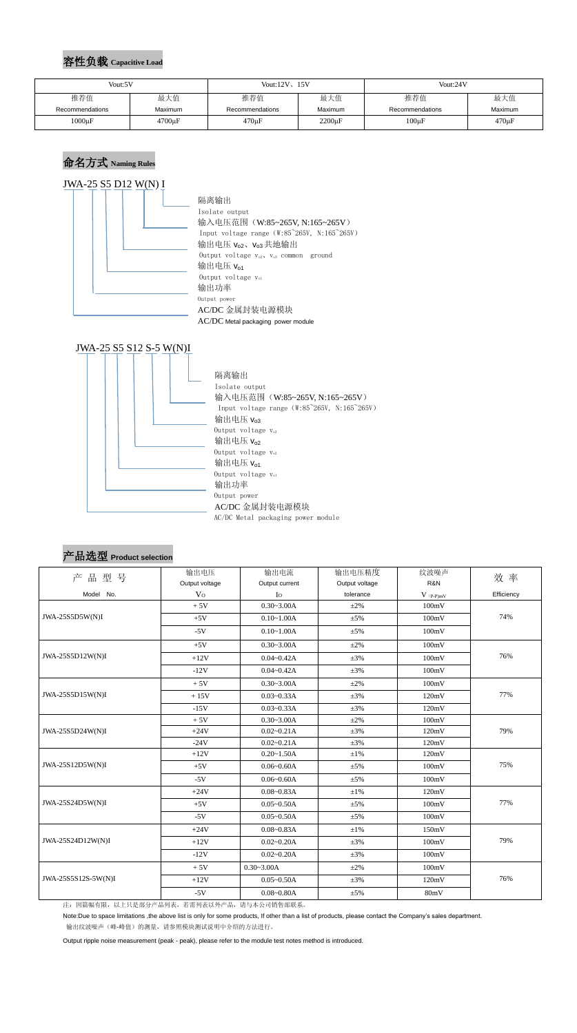# 容性负载 **Capacitive Load**

### 命名方式 **Naming Rules**





| 产品选型 Product selection |  |  |
|------------------------|--|--|
|------------------------|--|--|

| 产品型号                | 输出电压           | 输出电流           | 输出电压精度                               | 纹波噪声                 | 效率         |  |
|---------------------|----------------|----------------|--------------------------------------|----------------------|------------|--|
|                     | Output voltage | Output current | Output voltage                       | R&N                  |            |  |
| Model No.           | V <sub>0</sub> | $I_{\rm O}$    | tolerance                            | $V$ $_{\rm (P-P)mV}$ | Efficiency |  |
|                     | $+5V$          | $0.30 - 3.00A$ | $\pm 2\%$                            | 100mV                |            |  |
| JWA-25S5D5W(N)I     | $+5V$          | $0.10 - 1.00A$ | $\pm 5\%$                            | 100mV                | 74%        |  |
|                     | $-5V$          | $0.10 - 1.00A$ | $\pm 5\%$                            | 100mV                |            |  |
|                     | $+5V$          | $0.30 - 3.00A$ | $\pm 2\%$                            | 100mV                | 76%        |  |
| JWA-25S5D12W(N)I    | $+12V$         | $0.04 - 0.42A$ | $\pm 3\%$                            | 100mV                |            |  |
|                     | $-12V$         | $0.04 - 0.42A$ | $\pm 3\%$                            | 100mV                |            |  |
|                     | $+5V$          | $0.30 - 3.00A$ | $\pm 2\%$                            | 100mV                |            |  |
| JWA-25S5D15W(N)I    | $+15V$         | $0.03 - 0.33A$ | $\pm 3\%$                            | 120mV                | 77%        |  |
|                     | $-15V$         | $0.03 - 0.33A$ | $\pm 3\%$                            | 120mV                |            |  |
|                     | $+5V$          | $0.30 - 3.00A$ | $\pm 2\%$                            | 100mV                |            |  |
| JWA-25S5D24W(N)I    | $+24V$         | $0.02 - 0.21A$ | $\pm 3\%$                            | 120mV                | 79%        |  |
|                     | $-24V$         | $0.02 - 0.21A$ | $\pm 3\%$                            | 120mV                |            |  |
|                     | $+12V$         | $0.20 - 1.50A$ | $\pm 1\%$                            | 120mV                |            |  |
| JWA-25S12D5W(N)I    | $+5V$          | $0.06 - 0.60A$ | $\pm$ 5%                             | 100mV                | 75%        |  |
|                     | $-5V$          | $0.06 - 0.60A$ | $\pm 5\%$                            | 100mV                |            |  |
|                     | $+24V$         | $0.08 - 0.83A$ | $\pm 1\%$                            | 120mV                |            |  |
| JWA-25S24D5W(N)I    | $+5V$          | $0.05 - 0.50A$ | $\pm$ 5%                             | 100mV                | 77%        |  |
|                     | $-5V$          | $0.05 - 0.50A$ | $\pm$ 5%                             | 100mV                |            |  |
| JWA-25S24D12W(N)I   | $+24V$         | $0.08 - 0.83A$ | $\pm 1\%$                            | 150mV                |            |  |
|                     | $+12V$         | $0.02 - 0.20A$ | $\pm 3\%$                            | 100mV                | 79%        |  |
|                     | $-12V$         | $0.02 - 0.20A$ | $\pm 3\%$                            | 100mV                |            |  |
|                     | $+5V$          | $0.30 - 3.00A$ | $\pm 2\%$                            | 100mV                |            |  |
| JWA-25S5S12S-5W(N)I | $+12V$         |                | $0.05 - 0.50A$<br>$\pm 3\%$<br>120mV |                      | 76%        |  |
|                     | $-5V$          | $0.08 - 0.80A$ | $\pm 5\%$                            | 80mV                 |            |  |

注:因篇幅有限,以上只是部分产品列表,若需列表以外产品,请与本公司销售部联系。

Note:Due to space limitations ,the above list is only for some products, If other than a list of products, please contact the Company's sales department.

输出纹波噪声(峰-峰值)的测量,请参照模块测试说明中介绍的方法进行。

Output ripple noise measurement (peak - peak), please refer to the module test notes method is introduced.

| Vout:5V         |                     | Vout: $12V$ , $15V$ |              | Vout:24V        |             |  |
|-----------------|---------------------|---------------------|--------------|-----------------|-------------|--|
| 推荐值             | 最大值                 | 推荐值                 | 最大值          | 推荐值             | 最大值         |  |
| Recommendations | Maximum             | Recommendations     | Maximum      | Recommendations | Maximum     |  |
| $1000\mu F$     | 4700 <sub>u</sub> F | $470 \mu F$         | $2200 \mu F$ | $100 \mu F$     | $470 \mu F$ |  |